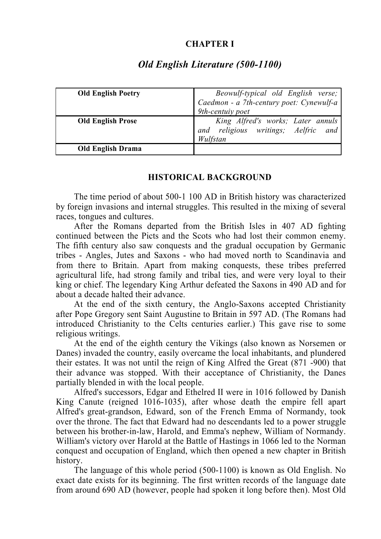## **CHAPTER I**

| <b>Old English Poetry</b> | Beowulf-typical old English verse;       |
|---------------------------|------------------------------------------|
|                           | Caedmon - a 7th-century poet: Cynewulf-a |
|                           | 9th-centuiy poet                         |
| <b>Old English Prose</b>  | King Alfred's works; Later annuls        |
|                           | and religious writings; Aelfric and      |
|                           | Wulfstan                                 |
| <b>Old English Drama</b>  |                                          |

# *Old English Literature (500-1100)*

## **HISTORICAL BACKGROUND**

The time period of about 500-1 100 AD in British history was characterized by foreign invasions and internal struggles. This resulted in the mixing of several races, tongues and cultures.

After the Romans departed from the British Isles in 407 AD fighting continued between the Picts and the Scots who had lost their common enemy. The fifth century also saw conquests and the gradual occupation by Germanic tribes - Angles, Jutes and Saxons - who had moved north to Scandinavia and from there to Britain. Apart from making conquests, these tribes preferred agricultural life, had strong family and tribal ties, and were very loyal to their king or chief. The legendary King Arthur defeated the Saxons in 490 AD and for about a decade halted their advance.

At the end of the sixth century, the Anglo-Saxons accepted Christianity after Pope Gregory sent Saint Augustine to Britain in 597 AD. (The Romans had introduced Christianity to the Celts centuries earlier.) This gave rise to some religious writings.

At the end of the eighth century the Vikings (also known as Norsemen or Danes) invaded the country, easily overcame the local inhabitants, and plundered their estates. It was not until the reign of King Alfred the Great (871 -900) that their advance was stopped. With their acceptance of Christianity, the Danes partially blended in with the local people.

Alfred's successors, Edgar and Ethelred II were in 1016 followed by Danish King Canute (reigned 1016-1035), after whose death the empire fell apart Alfred's great-grandson, Edward, son of the French Emma of Normandy, took over the throne. The fact that Edward had no descendants led to a power struggle between his brother-in-law, Harold, and Emma's nephew, William of Normandy. William's victory over Harold at the Battle of Hastings in 1066 led to the Norman conquest and occupation of England, which then opened a new chapter in British history.

The language of this whole period (500-1100) is known as Old English. No exact date exists for its beginning. The first written records of the language date from around 690 AD (however, people had spoken it long before then). Most Old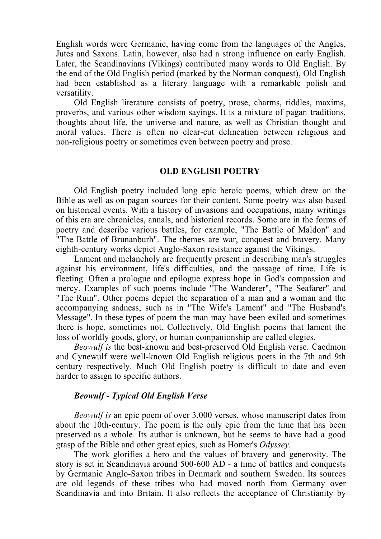English words were Germanic, having come from the languages of the Angles, Jutes and Saxons. Latin, however, also had a strong influence on early English. Later, the Scandinavians (Vikings) contributed many words to Old English. By the end of the Old English period (marked by the Norman conquest), Old English had been established as a literary language with a remarkable polish and versatility.

Old English literature consists of poetry, prose, charms, riddles, maxims, proverbs, and various other wisdom sayings. It is a mixture of pagan traditions, thoughts about life, the universe and nature, as well as Christian thought and moral values. There is often no clear-cut delineation between religious and non-religious poetry or sometimes even between poetry and prose.

#### **OLD ENGLISH POETRY**

Old English poetry included long epic heroic poems, which drew on the Bible as well as on pagan sources for their content. Some poetry was also based on historical events. With a history of invasions and occupations, many writings of this era are chronicles, annals, and historical records. Some are in the forms of poetry and describe various battles, for example, "The Battle of Maldon" and "The Battle of Brunanburh". The themes are war, conquest and bravery. Many eighth-century works depict Anglo-Saxon resistance against the Vikings.

Lament and melancholy are frequently present in describing man's struggles against his environment, life's difficulties, and the passage of time. Life is fleeting. Often a prologue and epilogue express hope in God's compassion and mercy. Examples of such poems include "The Wanderer", "The Seafarer" and "The Ruin". Other poems depict the separation of a man and a woman and the accompanying sadness, such as in "The Wife's Lament" and "The Husband's Message". In these types of poem the man may have been exiled and sometimes there is hope, sometimes not. Collectively, Old English poems that lament the loss of worldly goods, glory, or human companionship are called elegies.

*Beowulf is* the best-known and best-preserved Old English verse. Caedmon and Cynewulf were well-known Old English religious poets in the 7th and 9th century respectively. Much Old English poetry is difficult to date and even harder to assign to specific authors.

## *Beowulf - Typical Old English Verse*

*Beowulf is* an epic poem of over 3,000 verses, whose manuscript dates from about the 10th-century. The poem is the only epic from the time that has been preserved as a whole. Its author is unknown, but he seems to have had a good grasp of the Bible and other great epics, such as Homer's *Odyssey.*

The work glorifies a hero and the values of bravery and generosity. The story is set in Scandinavia around 500-600 AD - a time of battles and conquests by Germanic Anglo-Saxon tribes in Denmark and southern Sweden. Its sources are old legends of these tribes who had moved north from Germany over Scandinavia and into Britain. It also reflects the acceptance of Christianity by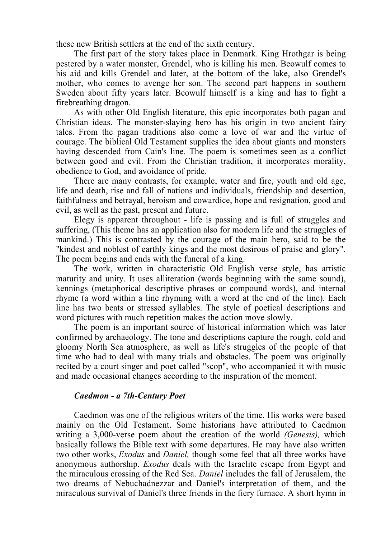these new British settlers at the end of the sixth century.

The first part of the story takes place in Denmark. King Hrothgar is being pestered by a water monster, Grendel, who is killing his men. Beowulf comes to his aid and kills Grendel and later, at the bottom of the lake, also Grendel's mother, who comes to avenge her son. The second part happens in southern Sweden about fifty years later. Beowulf himself is a king and has to fight a firebreathing dragon.

As with other Old English literature, this epic incorporates both pagan and Christian ideas. The monster-slaying hero has his origin in two ancient fairy tales. From the pagan traditions also come a love of war and the virtue of courage. The biblical Old Testament supplies the idea about giants and monsters having descended from Cain's line. The poem is sometimes seen as a conflict between good and evil. From the Christian tradition, it incorporates morality, obedience to God, and avoidance of pride.

There are many contrasts, for example, water and fire, youth and old age, life and death, rise and fall of nations and individuals, friendship and desertion, faithfulness and betrayal, heroism and cowardice, hope and resignation, good and evil, as well as the past, present and future.

Elegy is apparent throughout - life is passing and is full of struggles and suffering, (This theme has an application also for modern life and the struggles of mankind.) This is contrasted by the courage of the main hero, said to be the "kindest and noblest of earthly kings and the most desirous of praise and glory". The poem begins and ends with the funeral of a king.

The work, written in characteristic Old English verse style, has artistic maturity and unity. It uses alliteration (words beginning with the same sound), kennings (metaphorical descriptive phrases or compound words), and internal rhyme (a word within a line rhyming with a word at the end of the line). Each line has two beats or stressed syllables. The style of poetical descriptions and word pictures with much repetition makes the action move slowly.

The poem is an important source of historical information which was later confirmed by archaeology. The tone and descriptions capture the rough, cold and gloomy North Sea atmosphere, as well as life's struggles of the people of that time who had to deal with many trials and obstacles. The poem was originally recited by a court singer and poet called "scop", who accompanied it with music and made occasional changes according to the inspiration of the moment.

## *Caedmon - a 7th-Century Poet*

Caedmon was one of the religious writers of the time. His works were based mainly on the Old Testament. Some historians have attributed to Caedmon writing a 3,000-verse poem about the creation of the world *(Genesis),* which basically follows the Bible text with some departures. He may have also written two other works, *Exodus* and *Daniel,* though some feel that all three works have anonymous authorship. *Exodus* deals with the Israelite escape from Egypt and the miraculous crossing of the Red Sea. *Daniel* includes the fall of Jerusalem, the two dreams of Nebuchadnezzar and Daniel's interpretation of them, and the miraculous survival of Daniel's three friends in the fiery furnace. A short hymn in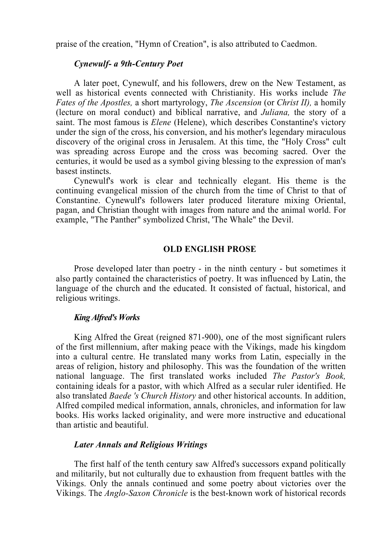praise of the creation, "Hymn of Creation", is also attributed to Caedmon.

### *Cynewulf- a 9th-Century Poet*

A later poet, Cynewulf, and his followers, drew on the New Testament, as well as historical events connected with Christianity. His works include *The Fates of the Apostles,* a short martyrology, *The Ascension* (or *Christ II),* a homily (lecture on moral conduct) and biblical narrative, and *Juliana,* the story of a saint. The most famous is *Elene* (Helene), which describes Constantine's victory under the sign of the cross, his conversion, and his mother's legendary miraculous discovery of the original cross in Jerusalem. At this time, the "Holy Cross" cult was spreading across Europe and the cross was becoming sacred. Over the centuries, it would be used as a symbol giving blessing to the expression of man's basest instincts.

Cynewulf's work is clear and technically elegant. His theme is the continuing evangelical mission of the church from the time of Christ to that of Constantine. Cynewulf's followers later produced literature mixing Oriental, pagan, and Christian thought with images from nature and the animal world. For example, "The Panther" symbolized Christ, 'The Whale" the Devil.

#### **OLD ENGLISH PROSE**

Prose developed later than poetry - in the ninth century - but sometimes it also partly contained the characteristics of poetry. It was influenced by Latin, the language of the church and the educated. It consisted of factual, historical, and religious writings.

#### *King Alfred's Works*

King Alfred the Great (reigned 871-900), one of the most significant rulers of the first millennium, after making peace with the Vikings, made his kingdom into a cultural centre. He translated many works from Latin, especially in the areas of religion, history and philosophy. This was the foundation of the written national language. The first translated works included *The Pastor's Book,* containing ideals for a pastor, with which Alfred as a secular ruler identified. He also translated *Baede 's Church History* and other historical accounts. In addition, Alfred compiled medical information, annals, chronicles, and information for law books. His works lacked originality, and were more instructive and educational than artistic and beautiful.

#### *Later Annals and Religious Writings*

The first half of the tenth century saw Alfred's successors expand politically and militarily, but not culturally due to exhaustion from frequent battles with the Vikings. Only the annals continued and some poetry about victories over the Vikings. The *Anglo-Saxon Chronicle* is the best-known work of historical records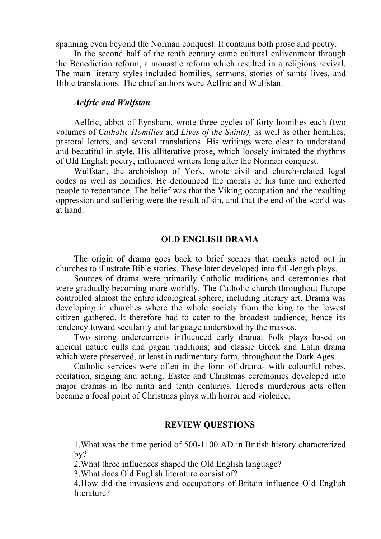spanning even beyond the Norman conquest. It contains both prose and poetry.

In the second half of the tenth century came cultural enlivenment through the Benedictian reform, a monastic reform which resulted in a religious revival. The main literary styles included homilies, sermons, stories of saints' lives, and Bible translations. The chief authors were Aelfric and Wulfstan.

### *Aelfric and Wulfstan*

Aelfric, abbot of Eynsham, wrote three cycles of forty homilies each (two volumes of *Catholic Homilies* and *Lives of the Saints),* as well as other homilies, pastoral letters, and several translations. His writings were clear to understand and beautiful in style. His alliterative prose, which loosely imitated the rhythms of Old English poetry, influenced writers long after the Norman conquest.

Wulfstan, the archbishop of York, wrote civil and church-related legal codes as well as homilies. He denounced the morals of his time and exhorted people to repentance. The belief was that the Viking occupation and the resulting oppression and suffering were the result of sin, and that the end of the world was at hand.

#### **OLD ENGLISH DRAMA**

The origin of drama goes back to brief scenes that monks acted out in churches to illustrate Bible stories. These later developed into full-length plays.

Sources of drama were primarily Catholic traditions and ceremonies that were gradually becoming more worldly. The Catholic church throughout Europe controlled almost the entire ideological sphere, including literary art. Drama was developing in churches where the whole society from the king to the lowest citizen gathered. It therefore had to cater to the broadest audience; hence its tendency toward secularity and language understood by the masses.

Two strong undercurrents influenced early drama: Folk plays based on ancient nature culls and pagan traditions; and classic Greek and Latin drama which were preserved, at least in rudimentary form, throughout the Dark Ages.

Catholic services were often in the form of drama- with colourful robes, recitation, singing and acting. Easter and Christmas ceremonies developed into major dramas in the ninth and tenth centuries. Herod's murderous acts often became a focal point of Christmas plays with horror and violence.

#### **REVIEW QUESTIONS**

1.What was the time period of 500-1100 AD in British history characterized by?

2.What three influences shaped the Old English language?

3.What does Old English literature consist of?

4.How did the invasions and occupations of Britain influence Old English literature?